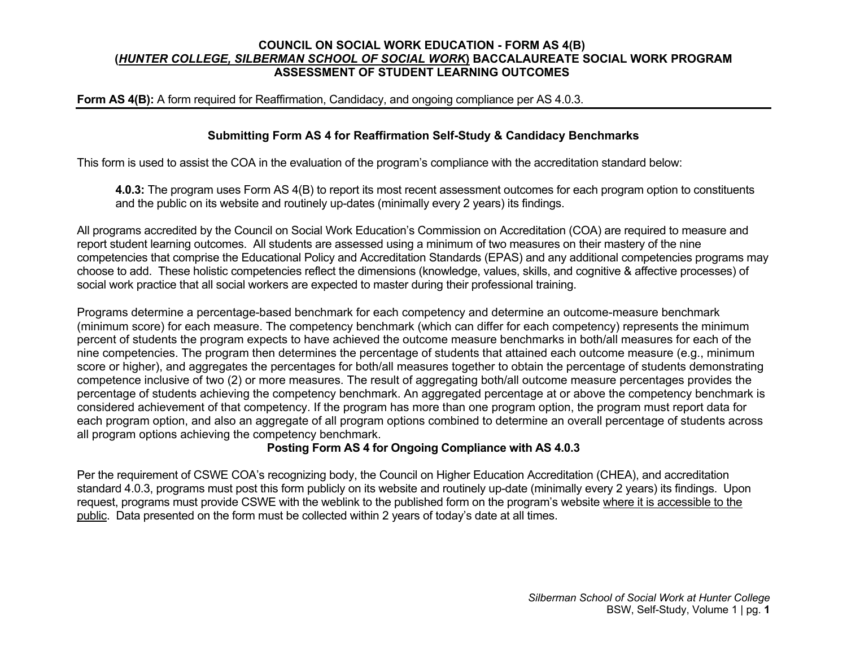### **COUNCIL ON SOCIAL WORK EDUCATION - FORM AS 4(B) (***HUNTER COLLEGE, SILBERMAN SCHOOL OF SOCIAL WORK***) BACCALAUREATE SOCIAL WORK PROGRAM ASSESSMENT OF STUDENT LEARNING OUTCOMES**

### **Form AS 4(B):** A form required for Reaffirmation, Candidacy, and ongoing compliance per AS 4.0.3.

### **Submitting Form AS 4 for Reaffirmation Self-Study & Candidacy Benchmarks**

This form is used to assist the COA in the evaluation of the program's compliance with the accreditation standard below:

**4.0.3:** The program uses Form AS 4(B) to report its most recent assessment outcomes for each program option to constituents and the public on its website and routinely up-dates (minimally every 2 years) its findings.

All programs accredited by the Council on Social Work Education's Commission on Accreditation (COA) are required to measure and report student learning outcomes. All students are assessed using a minimum of two measures on their mastery of the nine competencies that comprise the Educational Policy and Accreditation Standards (EPAS) and any additional competencies programs may choose to add. These holistic competencies reflect the dimensions (knowledge, values, skills, and cognitive & affective processes) of social work practice that all social workers are expected to master during their professional training.

Programs determine a percentage-based benchmark for each competency and determine an outcome-measure benchmark (minimum score) for each measure. The competency benchmark (which can differ for each competency) represents the minimum percent of students the program expects to have achieved the outcome measure benchmarks in both/all measures for each of the nine competencies. The program then determines the percentage of students that attained each outcome measure (e.g., minimum score or higher), and aggregates the percentages for both/all measures together to obtain the percentage of students demonstrating competence inclusive of two (2) or more measures. The result of aggregating both/all outcome measure percentages provides the percentage of students achieving the competency benchmark. An aggregated percentage at or above the competency benchmark is considered achievement of that competency. If the program has more than one program option, the program must report data for each program option, and also an aggregate of all program options combined to determine an overall percentage of students across all program options achieving the competency benchmark.

## **Posting Form AS 4 for Ongoing Compliance with AS 4.0.3**

Per the requirement of CSWE COA's recognizing body, the Council on Higher Education Accreditation (CHEA), and accreditation standard 4.0.3, programs must post this form publicly on its website and routinely up-date (minimally every 2 years) its findings. Upon request, programs must provide CSWE with the weblink to the published form on the program's website where it is accessible to the public. Data presented on the form must be collected within 2 years of today's date at all times.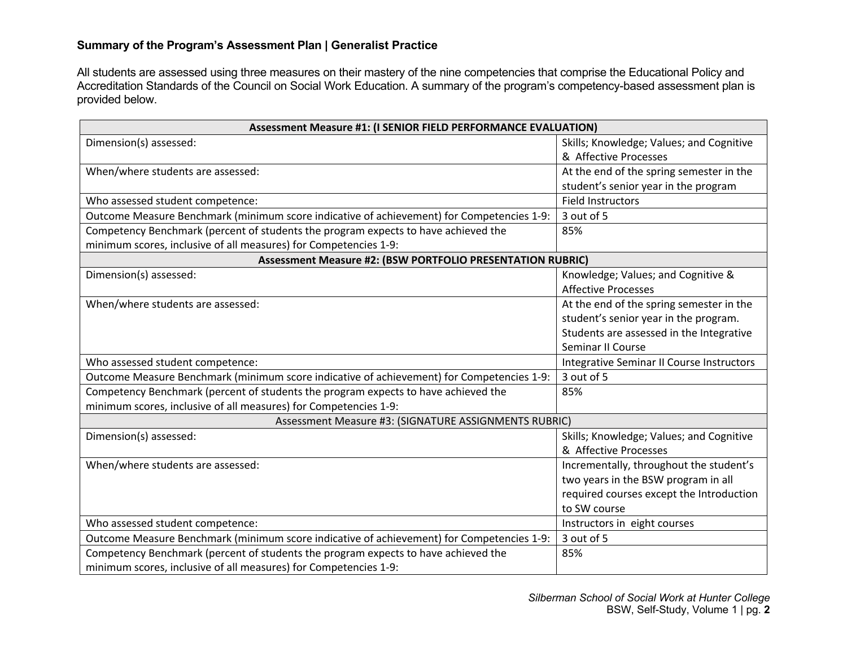## **Summary of the Program's Assessment Plan | Generalist Practice**

All students are assessed using three measures on their mastery of the nine competencies that comprise the Educational Policy and Accreditation Standards of the Council on Social Work Education. A summary of the program's competency-based assessment plan is provided below.

| Assessment Measure #1: (I SENIOR FIELD PERFORMANCE EVALUATION)                            |                                           |  |
|-------------------------------------------------------------------------------------------|-------------------------------------------|--|
| Dimension(s) assessed:                                                                    | Skills; Knowledge; Values; and Cognitive  |  |
|                                                                                           | & Affective Processes                     |  |
| When/where students are assessed:                                                         | At the end of the spring semester in the  |  |
|                                                                                           | student's senior year in the program      |  |
| Who assessed student competence:                                                          | <b>Field Instructors</b>                  |  |
| Outcome Measure Benchmark (minimum score indicative of achievement) for Competencies 1-9: | 3 out of 5                                |  |
| Competency Benchmark (percent of students the program expects to have achieved the        | 85%                                       |  |
| minimum scores, inclusive of all measures) for Competencies 1-9:                          |                                           |  |
| <b>Assessment Measure #2: (BSW PORTFOLIO PRESENTATION RUBRIC)</b>                         |                                           |  |
| Dimension(s) assessed:                                                                    | Knowledge; Values; and Cognitive &        |  |
|                                                                                           | <b>Affective Processes</b>                |  |
| When/where students are assessed:                                                         | At the end of the spring semester in the  |  |
|                                                                                           | student's senior year in the program.     |  |
|                                                                                           | Students are assessed in the Integrative  |  |
|                                                                                           | Seminar II Course                         |  |
| Who assessed student competence:                                                          | Integrative Seminar II Course Instructors |  |
| Outcome Measure Benchmark (minimum score indicative of achievement) for Competencies 1-9: | 3 out of 5                                |  |
| Competency Benchmark (percent of students the program expects to have achieved the        | 85%                                       |  |
| minimum scores, inclusive of all measures) for Competencies 1-9:                          |                                           |  |
| Assessment Measure #3: (SIGNATURE ASSIGNMENTS RUBRIC)                                     |                                           |  |
| Dimension(s) assessed:                                                                    | Skills; Knowledge; Values; and Cognitive  |  |
|                                                                                           | & Affective Processes                     |  |
| When/where students are assessed:                                                         | Incrementally, throughout the student's   |  |
|                                                                                           | two years in the BSW program in all       |  |
|                                                                                           | required courses except the Introduction  |  |
|                                                                                           | to SW course                              |  |
| Who assessed student competence:                                                          | Instructors in eight courses              |  |
| Outcome Measure Benchmark (minimum score indicative of achievement) for Competencies 1-9: | 3 out of 5                                |  |
| Competency Benchmark (percent of students the program expects to have achieved the        | 85%                                       |  |
| minimum scores, inclusive of all measures) for Competencies 1-9:                          |                                           |  |